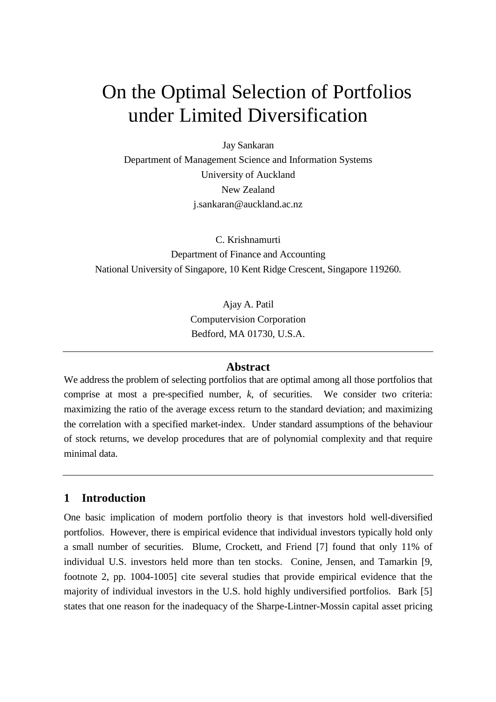# On the Optimal Selection of Portfolios under Limited Diversification

Jay Sankaran

Department of Management Science and Information Systems University of Auckland New Zealand j.sankaran@auckland.ac.nz

C. Krishnamurti Department of Finance and Accounting National University of Singapore, 10 Kent Ridge Crescent, Singapore 119260.

> Ajay A. Patil Computervision Corporation Bedford, MA 01730, U.S.A.

## **Abstract**

We address the problem of selecting portfolios that are optimal among all those portfolios that comprise at most a pre-specified number, *k*, of securities. We consider two criteria: maximizing the ratio of the average excess return to the standard deviation; and maximizing the correlation with a specified market-index. Under standard assumptions of the behaviour of stock returns, we develop procedures that are of polynomial complexity and that require minimal data.

# **1 Introduction**

One basic implication of modern portfolio theory is that investors hold well-diversified portfolios. However, there is empirical evidence that individual investors typically hold only a small number of securities. Blume, Crockett, and Friend [7] found that only 11% of individual U.S. investors held more than ten stocks. Conine, Jensen, and Tamarkin [9, footnote 2, pp. 1004-1005] cite several studies that provide empirical evidence that the majority of individual investors in the U.S. hold highly undiversified portfolios. Bark [5] states that one reason for the inadequacy of the Sharpe-Lintner-Mossin capital asset pricing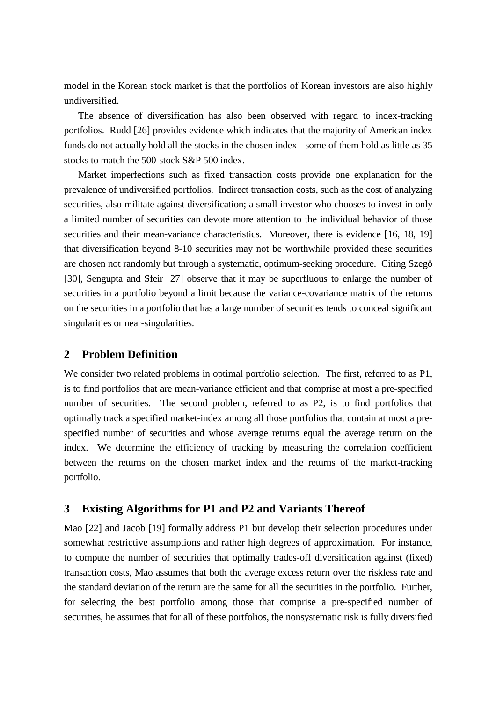model in the Korean stock market is that the portfolios of Korean investors are also highly undiversified.

The absence of diversification has also been observed with regard to index-tracking portfolios. Rudd [26] provides evidence which indicates that the majority of American index funds do not actually hold all the stocks in the chosen index - some of them hold as little as 35 stocks to match the 500-stock S&P 500 index.

Market imperfections such as fixed transaction costs provide one explanation for the prevalence of undiversified portfolios. Indirect transaction costs, such as the cost of analyzing securities, also militate against diversification; a small investor who chooses to invest in only a limited number of securities can devote more attention to the individual behavior of those securities and their mean-variance characteristics. Moreover, there is evidence [16, 18, 19] that diversification beyond 8-10 securities may not be worthwhile provided these securities are chosen not randomly but through a systematic, optimum-seeking procedure. Citing Szegö [30], Sengupta and Sfeir [27] observe that it may be superfluous to enlarge the number of securities in a portfolio beyond a limit because the variance-covariance matrix of the returns on the securities in a portfolio that has a large number of securities tends to conceal significant singularities or near-singularities.

## **2 Problem Definition**

We consider two related problems in optimal portfolio selection. The first, referred to as P1, is to find portfolios that are mean-variance efficient and that comprise at most a pre-specified number of securities. The second problem, referred to as P2, is to find portfolios that optimally track a specified market-index among all those portfolios that contain at most a prespecified number of securities and whose average returns equal the average return on the index. We determine the efficiency of tracking by measuring the correlation coefficient between the returns on the chosen market index and the returns of the market-tracking portfolio.

## **3 Existing Algorithms for P1 and P2 and Variants Thereof**

Mao [22] and Jacob [19] formally address P1 but develop their selection procedures under somewhat restrictive assumptions and rather high degrees of approximation. For instance, to compute the number of securities that optimally trades-off diversification against (fixed) transaction costs, Mao assumes that both the average excess return over the riskless rate and the standard deviation of the return are the same for all the securities in the portfolio. Further, for selecting the best portfolio among those that comprise a pre-specified number of securities, he assumes that for all of these portfolios, the nonsystematic risk is fully diversified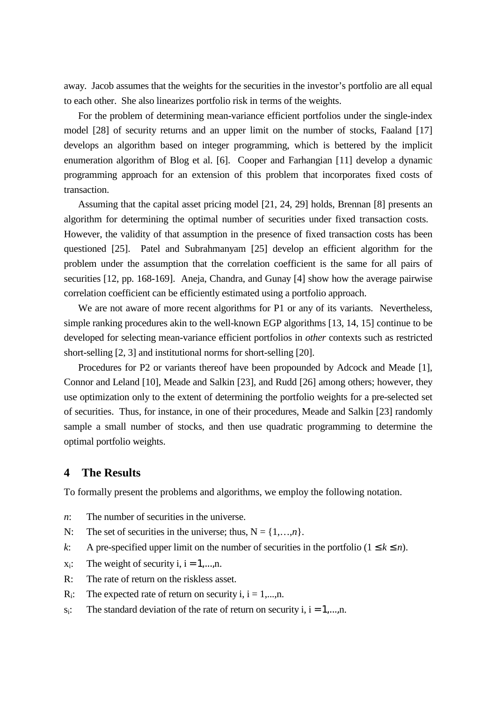away. Jacob assumes that the weights for the securities in the investor's portfolio are all equal to each other. She also linearizes portfolio risk in terms of the weights.

For the problem of determining mean-variance efficient portfolios under the single-index model [28] of security returns and an upper limit on the number of stocks, Faaland [17] develops an algorithm based on integer programming, which is bettered by the implicit enumeration algorithm of Blog et al. [6]. Cooper and Farhangian [11] develop a dynamic programming approach for an extension of this problem that incorporates fixed costs of transaction.

Assuming that the capital asset pricing model [21, 24, 29] holds, Brennan [8] presents an algorithm for determining the optimal number of securities under fixed transaction costs. However, the validity of that assumption in the presence of fixed transaction costs has been questioned [25]. Patel and Subrahmanyam [25] develop an efficient algorithm for the problem under the assumption that the correlation coefficient is the same for all pairs of securities [12, pp. 168-169]. Aneja, Chandra, and Gunay [4] show how the average pairwise correlation coefficient can be efficiently estimated using a portfolio approach.

We are not aware of more recent algorithms for P1 or any of its variants. Nevertheless, simple ranking procedures akin to the well-known EGP algorithms [13, 14, 15] continue to be developed for selecting mean-variance efficient portfolios in *other* contexts such as restricted short-selling [2, 3] and institutional norms for short-selling [20].

Procedures for P2 or variants thereof have been propounded by Adcock and Meade [1], Connor and Leland [10], Meade and Salkin [23], and Rudd [26] among others; however, they use optimization only to the extent of determining the portfolio weights for a pre-selected set of securities. Thus, for instance, in one of their procedures, Meade and Salkin [23] randomly sample a small number of stocks, and then use quadratic programming to determine the optimal portfolio weights.

## **4 The Results**

To formally present the problems and algorithms, we employ the following notation.

- *n*: The number of securities in the universe.
- N: The set of securities in the universe; thus,  $N = \{1, \ldots, n\}$ .
- *k*: A pre-specified upper limit on the number of securities in the portfolio ( $1 \le k \le n$ ).
- $x_i$ : The weight of security i,  $i = 1,...,n$ .
- R: The rate of return on the riskless asset.
- $R_i$ : The expected rate of return on security i,  $i = 1,...,n$ .
- $s_i$ : The standard deviation of the rate of return on security i,  $i = 1,...,n$ .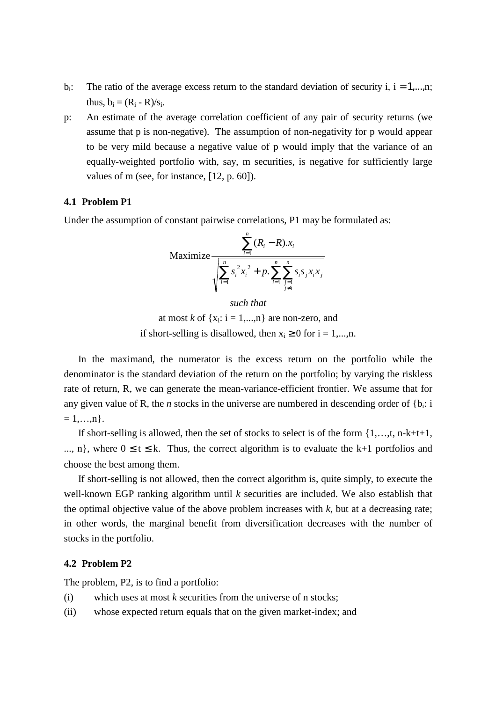- b<sub>i</sub>: The ratio of the average excess return to the standard deviation of security i,  $i = 1,...,n$ ; thus,  $b_i = (R_i - R)/s_i$ .
- p: An estimate of the average correlation coefficient of any pair of security returns (we assume that p is non-negative). The assumption of non-negativity for p would appear to be very mild because a negative value of p would imply that the variance of an equally-weighted portfolio with, say, m securities, is negative for sufficiently large values of m (see, for instance, [12, p. 60]).

#### **4.1 Problem P1**

Under the assumption of constant pairwise correlations, P1 may be formulated as:

$$
\text{Maximize} \frac{\sum_{i=1}^{n} (R_i - R).x_i}{\sqrt{\sum_{i=1}^{n} s_i^2 x_i^2 + p. \sum_{i=1}^{n} \sum_{\substack{j=1 \ j \neq i}}^{n} s_i s_j x_i x_j}}
$$

*such that*

at most *k* of  $\{x_i: i = 1,...,n\}$  are non-zero, and if short-selling is disallowed, then  $x_i \ge 0$  for  $i = 1,...,n$ .

In the maximand, the numerator is the excess return on the portfolio while the denominator is the standard deviation of the return on the portfolio; by varying the riskless rate of return, R, we can generate the mean-variance-efficient frontier. We assume that for any given value of R, the *n* stocks in the universe are numbered in descending order of  ${b_i: i}$  $= 1,...,n$ .

If short-selling is allowed, then the set of stocks to select is of the form  $\{1, \ldots, t, n-k+t+1,$ ..., n}, where  $0 \le t \le k$ . Thus, the correct algorithm is to evaluate the k+1 portfolios and choose the best among them.

If short-selling is not allowed, then the correct algorithm is, quite simply, to execute the well-known EGP ranking algorithm until *k* securities are included. We also establish that the optimal objective value of the above problem increases with  $k$ , but at a decreasing rate; in other words, the marginal benefit from diversification decreases with the number of stocks in the portfolio.

#### **4.2 Problem P2**

The problem, P2, is to find a portfolio:

- (i) which uses at most *k* securities from the universe of n stocks;
- (ii) whose expected return equals that on the given market-index; and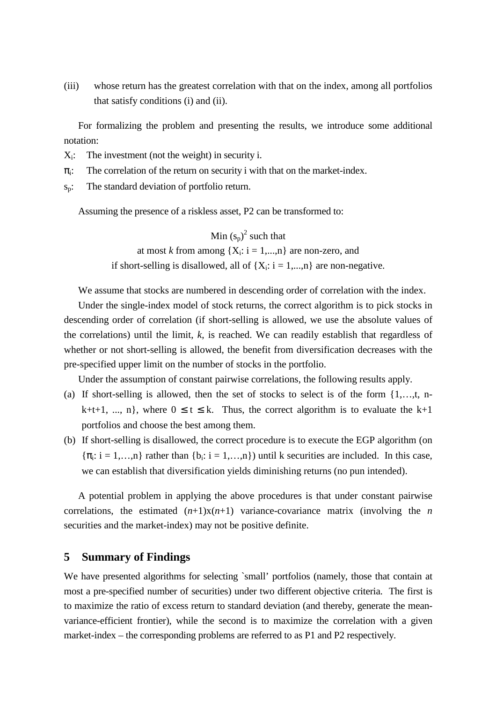(iii) whose return has the greatest correlation with that on the index, among all portfolios that satisfy conditions (i) and (ii).

For formalizing the problem and presenting the results, we introduce some additional notation:

- $X_i$ : The investment (not the weight) in security i.
- $\pi$ : The correlation of the return on security i with that on the market-index.
- sp: The standard deviation of portfolio return.

Assuming the presence of a riskless asset, P2 can be transformed to:

Min  $(s_p)^2$  such that at most *k* from among  ${X_i: i = 1,...,n}$  are non-zero, and if short-selling is disallowed, all of  $\{X_i: i = 1,...,n\}$  are non-negative.

We assume that stocks are numbered in descending order of correlation with the index.

Under the single-index model of stock returns, the correct algorithm is to pick stocks in descending order of correlation (if short-selling is allowed, we use the absolute values of the correlations) until the limit, *k*, is reached. We can readily establish that regardless of whether or not short-selling is allowed, the benefit from diversification decreases with the pre-specified upper limit on the number of stocks in the portfolio.

Under the assumption of constant pairwise correlations, the following results apply.

- (a) If short-selling is allowed, then the set of stocks to select is of the form  $\{1,...,t, n$ k+t+1, ..., n}, where  $0 \le t \le k$ . Thus, the correct algorithm is to evaluate the k+1 portfolios and choose the best among them.
- (b) If short-selling is disallowed, the correct procedure is to execute the EGP algorithm (on  $\{\pi_i: i = 1,...,n\}$  rather than  $\{b_i: i = 1,...,n\}$  until k securities are included. In this case, we can establish that diversification yields diminishing returns (no pun intended).

A potential problem in applying the above procedures is that under constant pairwise correlations, the estimated  $(n+1)x(n+1)$  variance-covariance matrix (involving the *n* securities and the market-index) may not be positive definite.

#### **5 Summary of Findings**

We have presented algorithms for selecting `small' portfolios (namely, those that contain at most a pre-specified number of securities) under two different objective criteria. The first is to maximize the ratio of excess return to standard deviation (and thereby, generate the meanvariance-efficient frontier), while the second is to maximize the correlation with a given market-index – the corresponding problems are referred to as P1 and P2 respectively.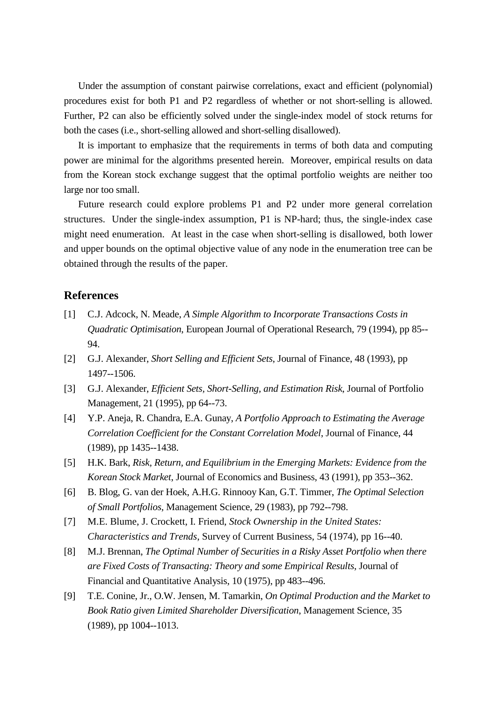Under the assumption of constant pairwise correlations, exact and efficient (polynomial) procedures exist for both P1 and P2 regardless of whether or not short-selling is allowed. Further, P2 can also be efficiently solved under the single-index model of stock returns for both the cases (i.e., short-selling allowed and short-selling disallowed).

It is important to emphasize that the requirements in terms of both data and computing power are minimal for the algorithms presented herein. Moreover, empirical results on data from the Korean stock exchange suggest that the optimal portfolio weights are neither too large nor too small.

Future research could explore problems P1 and P2 under more general correlation structures. Under the single-index assumption, P1 is NP-hard; thus, the single-index case might need enumeration. At least in the case when short-selling is disallowed, both lower and upper bounds on the optimal objective value of any node in the enumeration tree can be obtained through the results of the paper.

#### **References**

- [1] C.J. Adcock, N. Meade, *A Simple Algorithm to Incorporate Transactions Costs in Quadratic Optimisation*, European Journal of Operational Research, 79 (1994), pp 85-- 94.
- [2] G.J. Alexander, *Short Selling and Efficient Sets*, Journal of Finance, 48 (1993), pp 1497--1506.
- [3] G.J. Alexander, *Efficient Sets, Short-Selling, and Estimation Risk*, Journal of Portfolio Management, 21 (1995), pp 64--73.
- [4] Y.P. Aneja, R. Chandra, E.A. Gunay, *A Portfolio Approach to Estimating the Average Correlation Coefficient for the Constant Correlation Model*, Journal of Finance, 44 (1989), pp 1435--1438.
- [5] H.K. Bark, *Risk, Return, and Equilibrium in the Emerging Markets: Evidence from the Korean Stock Market*, Journal of Economics and Business, 43 (1991), pp 353--362.
- [6] B. Blog, G. van der Hoek, A.H.G. Rinnooy Kan, G.T. Timmer, *The Optimal Selection of Small Portfolios*, Management Science, 29 (1983), pp 792--798.
- [7] M.E. Blume, J. Crockett, I. Friend, *Stock Ownership in the United States: Characteristics and Trends*, Survey of Current Business, 54 (1974), pp 16--40.
- [8] M.J. Brennan, *The Optimal Number of Securities in a Risky Asset Portfolio when there are Fixed Costs of Transacting: Theory and some Empirical Results*, Journal of Financial and Quantitative Analysis, 10 (1975), pp 483--496.
- [9] T.E. Conine, Jr., O.W. Jensen, M. Tamarkin, *On Optimal Production and the Market to Book Ratio given Limited Shareholder Diversification*, Management Science, 35 (1989), pp 1004--1013.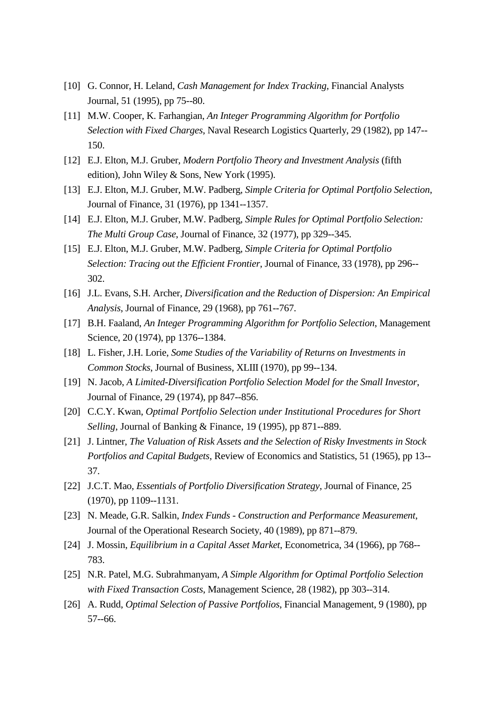- [10] G. Connor, H. Leland, *Cash Management for Index Tracking*, Financial Analysts Journal, 51 (1995), pp 75--80.
- [11] M.W. Cooper, K. Farhangian, *An Integer Programming Algorithm for Portfolio Selection with Fixed Charges*, Naval Research Logistics Quarterly, 29 (1982), pp 147-- 150.
- [12] E.J. Elton, M.J. Gruber, *Modern Portfolio Theory and Investment Analysis* (fifth edition), John Wiley & Sons, New York (1995).
- [13] E.J. Elton, M.J. Gruber, M.W. Padberg, *Simple Criteria for Optimal Portfolio Selection*, Journal of Finance, 31 (1976), pp 1341--1357.
- [14] E.J. Elton, M.J. Gruber, M.W. Padberg, *Simple Rules for Optimal Portfolio Selection: The Multi Group Case*, Journal of Finance, 32 (1977), pp 329--345.
- [15] E.J. Elton, M.J. Gruber, M.W. Padberg, *Simple Criteria for Optimal Portfolio Selection: Tracing out the Efficient Frontier*, Journal of Finance, 33 (1978), pp 296-- 302.
- [16] J.L. Evans, S.H. Archer, *Diversification and the Reduction of Dispersion: An Empirical Analysis*, Journal of Finance, 29 (1968), pp 761--767.
- [17] B.H. Faaland, *An Integer Programming Algorithm for Portfolio Selection*, Management Science, 20 (1974), pp 1376--1384.
- [18] L. Fisher, J.H. Lorie, *Some Studies of the Variability of Returns on Investments in Common Stocks*, Journal of Business, XLIII (1970), pp 99--134.
- [19] N. Jacob, *A Limited-Diversification Portfolio Selection Model for the Small Investor*, Journal of Finance, 29 (1974), pp 847--856.
- [20] C.C.Y. Kwan, *Optimal Portfolio Selection under Institutional Procedures for Short Selling*, Journal of Banking & Finance, 19 (1995), pp 871--889.
- [21] J. Lintner, *The Valuation of Risk Assets and the Selection of Risky Investments in Stock Portfolios and Capital Budgets*, Review of Economics and Statistics, 51 (1965), pp 13-- 37.
- [22] J.C.T. Mao, *Essentials of Portfolio Diversification Strategy*, Journal of Finance, 25 (1970), pp 1109--1131.
- [23] N. Meade, G.R. Salkin, *Index Funds - Construction and Performance Measurement*, Journal of the Operational Research Society, 40 (1989), pp 871--879.
- [24] J. Mossin, *Equilibrium in a Capital Asset Market*, Econometrica, 34 (1966), pp 768-- 783.
- [25] N.R. Patel, M.G. Subrahmanyam, *A Simple Algorithm for Optimal Portfolio Selection with Fixed Transaction Costs*, Management Science, 28 (1982), pp 303--314.
- [26] A. Rudd, *Optimal Selection of Passive Portfolios*, Financial Management, 9 (1980), pp 57--66.